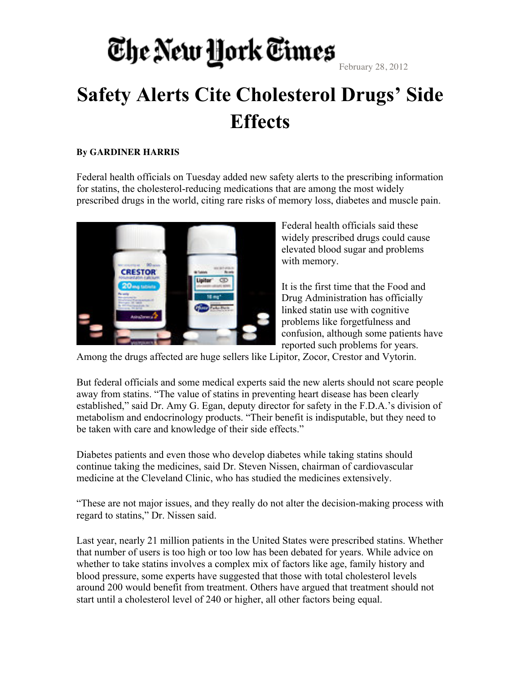## The New Hork Times

February 28, 2012

## **Safety Alerts Cite Cholesterol Drugs' Side Effects**

## **By GARDINER HARRIS**

Federal health officials on Tuesday added new safety alerts to the prescribing information for statins, the cholesterol-reducing medications that are among the most widely prescribed drugs in the world, citing rare risks of memory loss, diabetes and muscle pain.



Federal health officials said these widely prescribed drugs could cause elevated blood sugar and problems with memory.

It is the first time that the Food and Drug Administration has officially linked statin use with cognitive problems like forgetfulness and confusion, although some patients have reported such problems for years.

Among the drugs affected are huge sellers like Lipitor, Zocor, Crestor and Vytorin.

But federal officials and some medical experts said the new alerts should not scare people away from statins. "The value of statins in preventing heart disease has been clearly established," said Dr. Amy G. Egan, deputy director for safety in the F.D.A.'s division of metabolism and endocrinology products. "Their benefit is indisputable, but they need to be taken with care and knowledge of their side effects."

Diabetes patients and even those who develop diabetes while taking statins should continue taking the medicines, said Dr. Steven Nissen, chairman of cardiovascular medicine at the Cleveland Clinic, who has studied the medicines extensively.

"These are not major issues, and they really do not alter the decision-making process with regard to statins," Dr. Nissen said.

Last year, nearly 21 million patients in the United States were prescribed statins. Whether that number of users is too high or too low has been debated for years. While advice on whether to take statins involves a complex mix of factors like age, family history and blood pressure, some experts have suggested that those with total cholesterol levels around 200 would benefit from treatment. Others have argued that treatment should not start until a cholesterol level of 240 or higher, all other factors being equal.